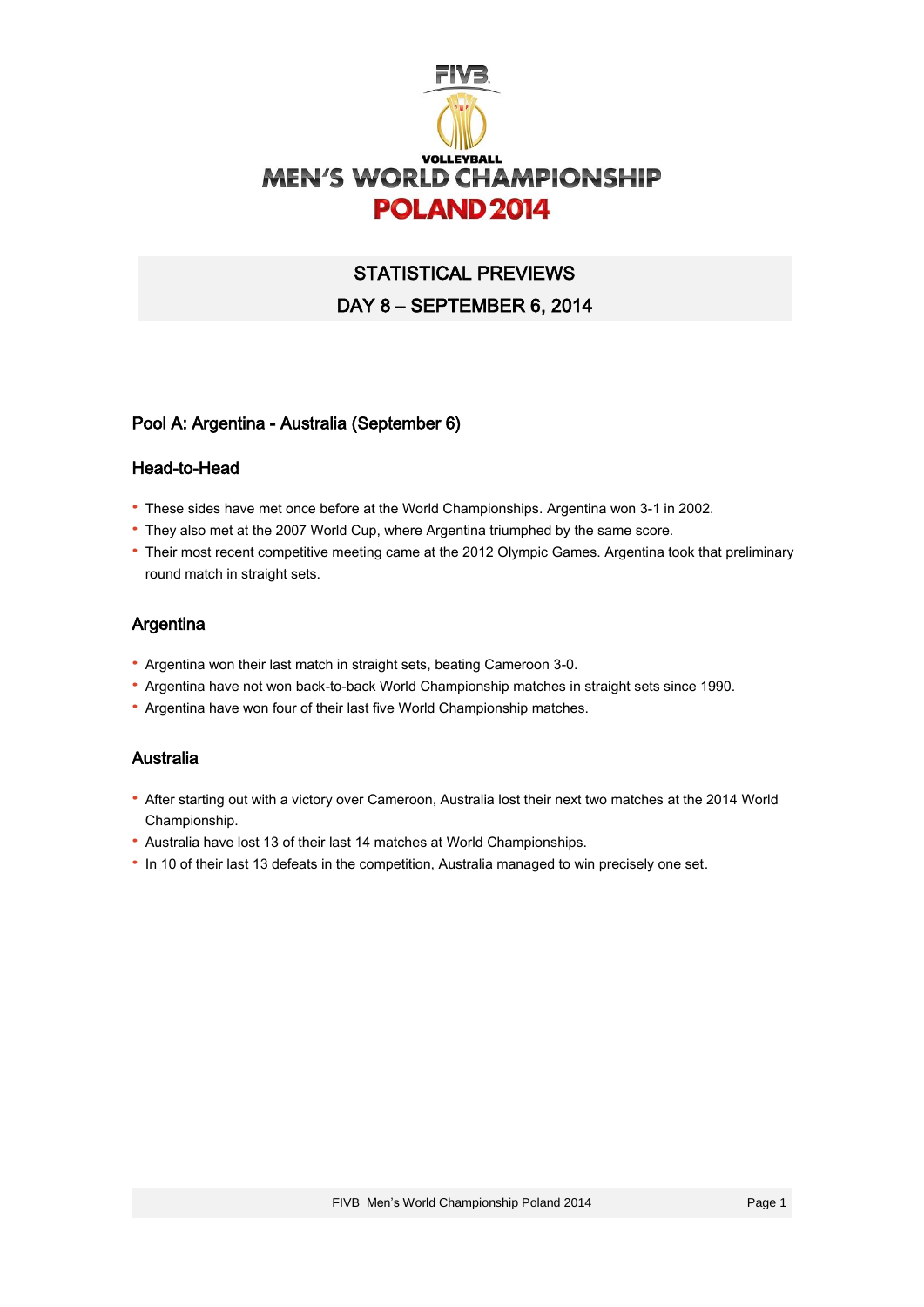

# STATISTICAL PREVIEWS DAY 8 – SEPTEMBER 6, 2014

## Pool A: Argentina - Australia (September 6)

### Head-to-Head

- · These sides have met once before at the World Championships. Argentina won 3-1 in 2002.
- · They also met at the 2007 World Cup, where Argentina triumphed by the same score.
- · Their most recent competitive meeting came at the 2012 Olympic Games. Argentina took that preliminary round match in straight sets.

## Argentina

- · Argentina won their last match in straight sets, beating Cameroon 3-0.
- · Argentina have not won back-to-back World Championship matches in straight sets since 1990.
- · Argentina have won four of their last five World Championship matches.

## Australia

- · After starting out with a victory over Cameroon, Australia lost their next two matches at the 2014 World Championship.
- · Australia have lost 13 of their last 14 matches at World Championships.
- · In 10 of their last 13 defeats in the competition, Australia managed to win precisely one set.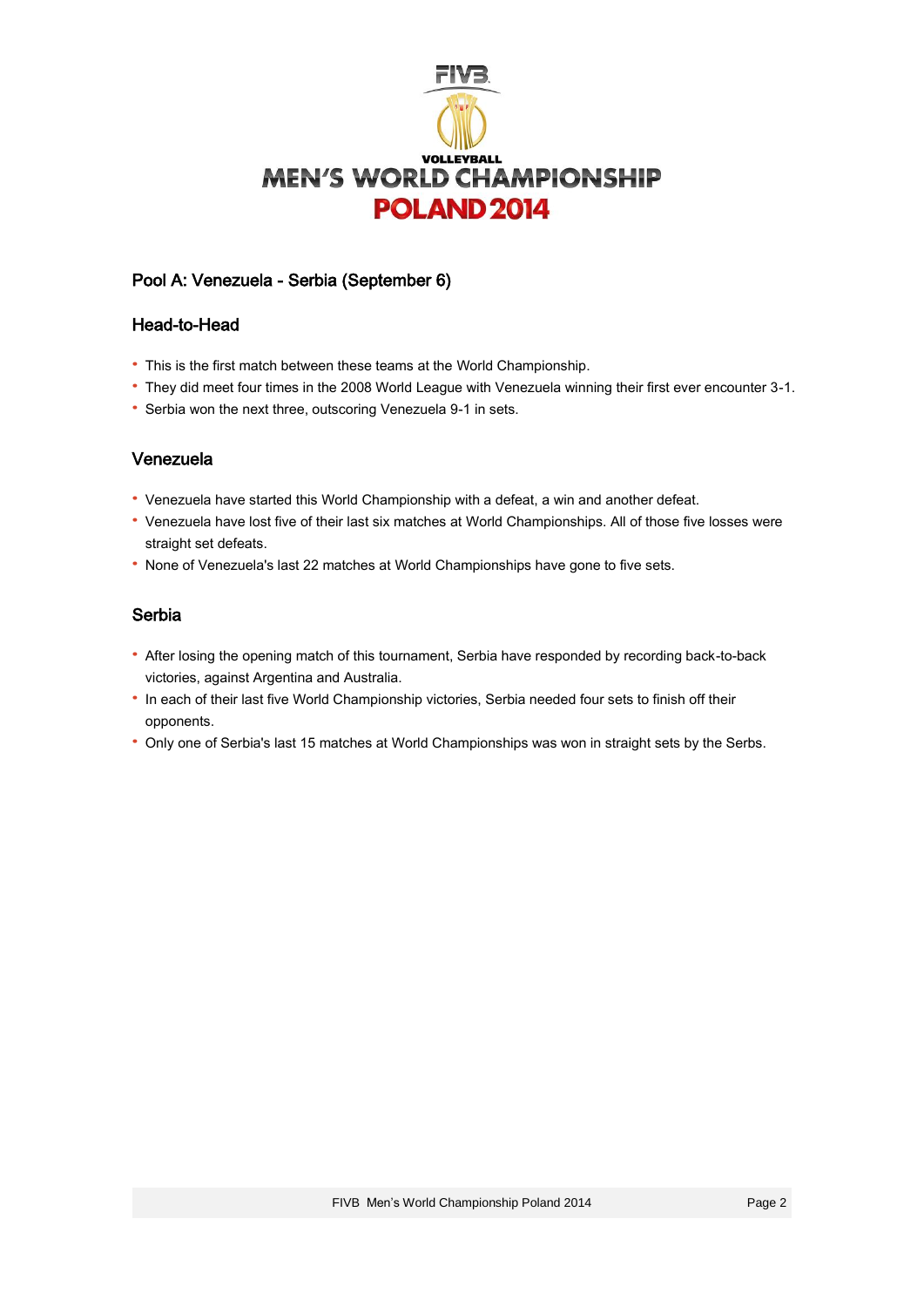

## Pool A: Venezuela - Serbia (September 6)

#### Head-to-Head

- · This is the first match between these teams at the World Championship.
- · They did meet four times in the 2008 World League with Venezuela winning their first ever encounter 3-1.
- · Serbia won the next three, outscoring Venezuela 9-1 in sets.

## Venezuela

- · Venezuela have started this World Championship with a defeat, a win and another defeat.
- · Venezuela have lost five of their last six matches at World Championships. All of those five losses were straight set defeats.
- · None of Venezuela's last 22 matches at World Championships have gone to five sets.

## Serbia

- · After losing the opening match of this tournament, Serbia have responded by recording back-to-back victories, against Argentina and Australia.
- · In each of their last five World Championship victories, Serbia needed four sets to finish off their opponents.
- · Only one of Serbia's last 15 matches at World Championships was won in straight sets by the Serbs.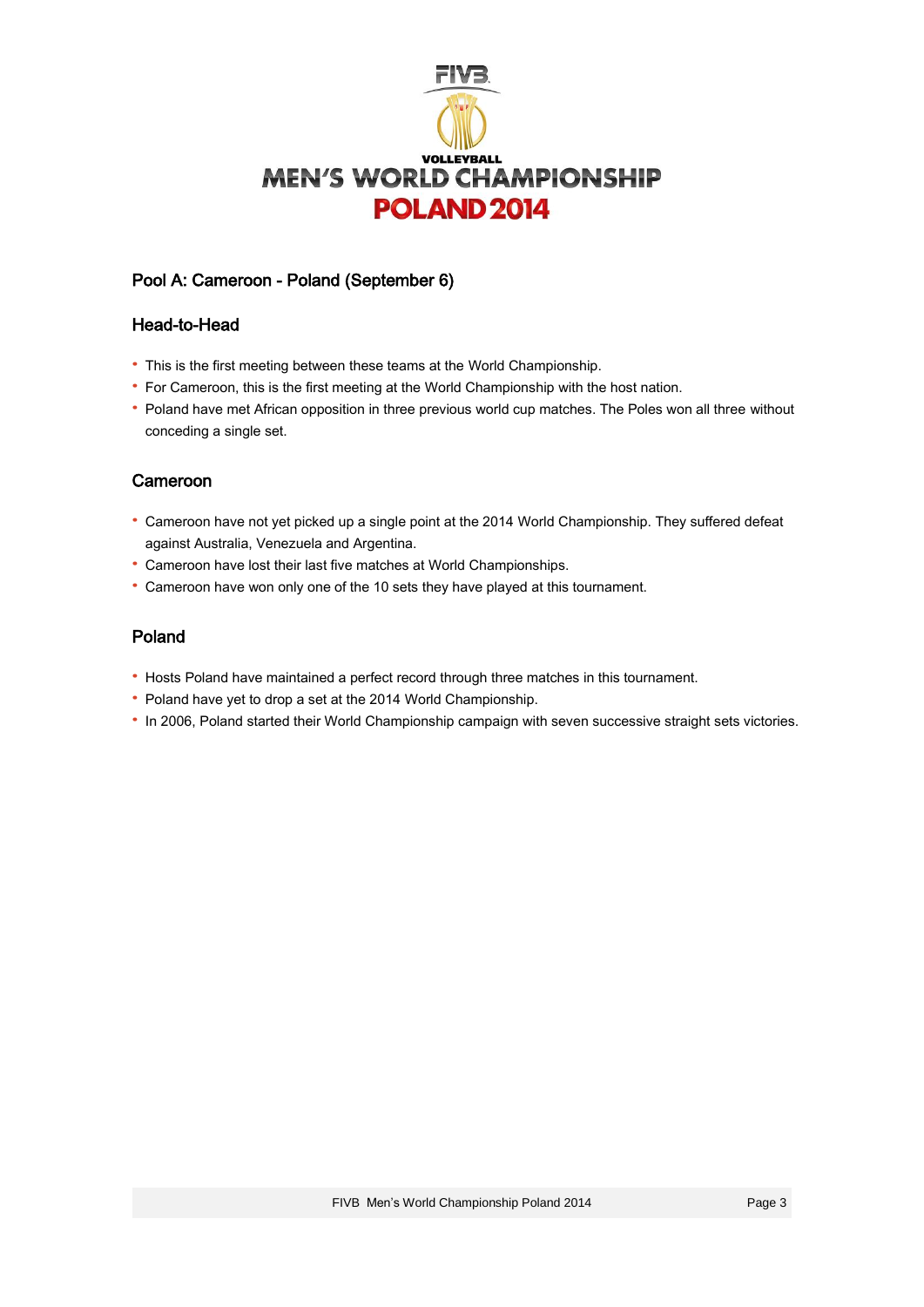

# Pool A: Cameroon - Poland (September 6)

### Head-to-Head

- · This is the first meeting between these teams at the World Championship.
- · For Cameroon, this is the first meeting at the World Championship with the host nation.
- · Poland have met African opposition in three previous world cup matches. The Poles won all three without conceding a single set.

## Cameroon

- · Cameroon have not yet picked up a single point at the 2014 World Championship. They suffered defeat against Australia, Venezuela and Argentina.
- · Cameroon have lost their last five matches at World Championships.
- · Cameroon have won only one of the 10 sets they have played at this tournament.

## Poland

- · Hosts Poland have maintained a perfect record through three matches in this tournament.
- · Poland have yet to drop a set at the 2014 World Championship.
- · In 2006, Poland started their World Championship campaign with seven successive straight sets victories.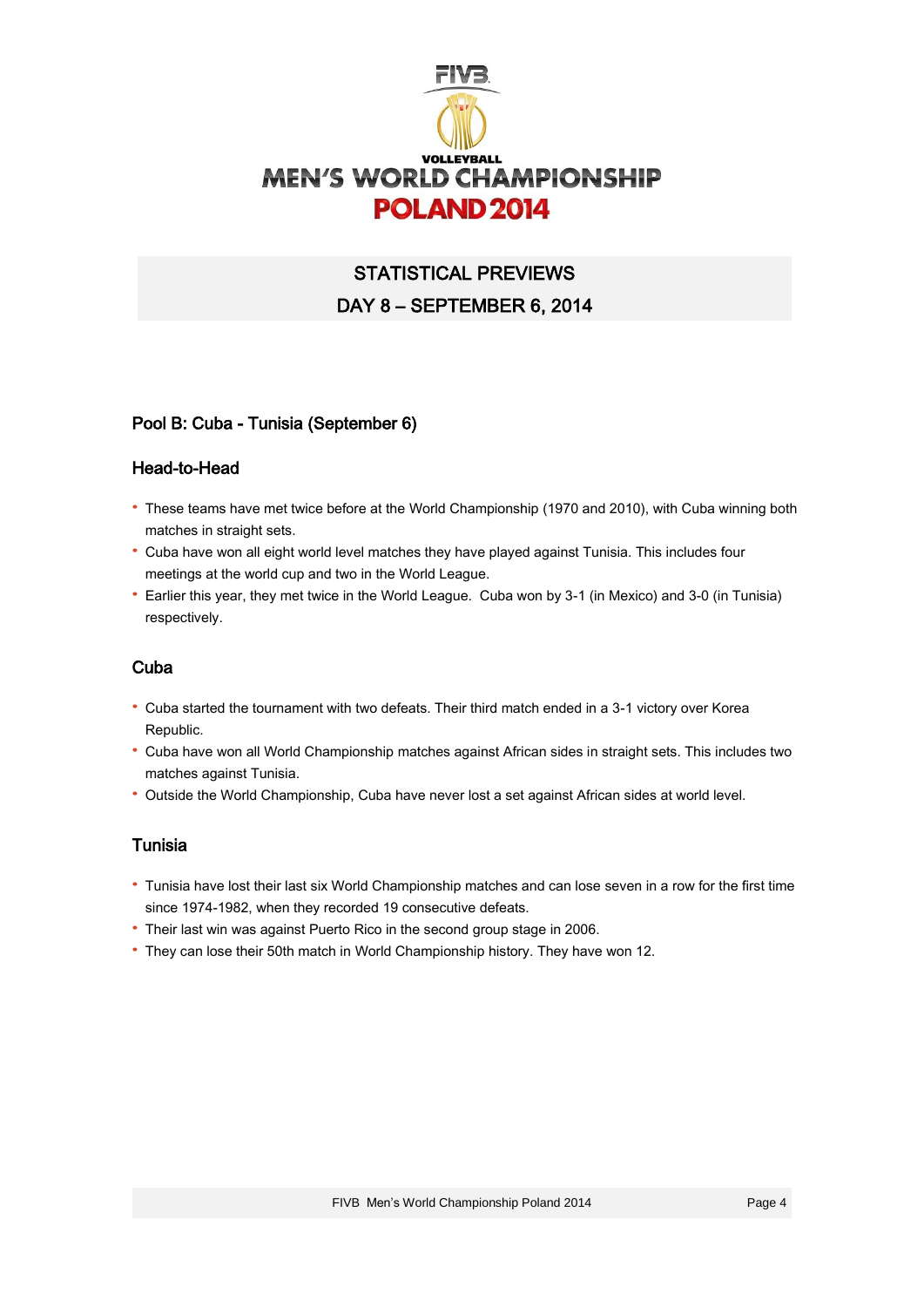

# STATISTICAL PREVIEWS DAY 8 – SEPTEMBER 6, 2014

## Pool B: Cuba - Tunisia (September 6)

#### Head-to-Head

- · These teams have met twice before at the World Championship (1970 and 2010), with Cuba winning both matches in straight sets.
- · Cuba have won all eight world level matches they have played against Tunisia. This includes four meetings at the world cup and two in the World League.
- · Earlier this year, they met twice in the World League. Cuba won by 3-1 (in Mexico) and 3-0 (in Tunisia) respectively.

## Cuba

- · Cuba started the tournament with two defeats. Their third match ended in a 3-1 victory over Korea Republic.
- · Cuba have won all World Championship matches against African sides in straight sets. This includes two matches against Tunisia.
- · Outside the World Championship, Cuba have never lost a set against African sides at world level.

## Tunisia

- · Tunisia have lost their last six World Championship matches and can lose seven in a row for the first time since 1974-1982, when they recorded 19 consecutive defeats.
- · Their last win was against Puerto Rico in the second group stage in 2006.
- · They can lose their 50th match in World Championship history. They have won 12.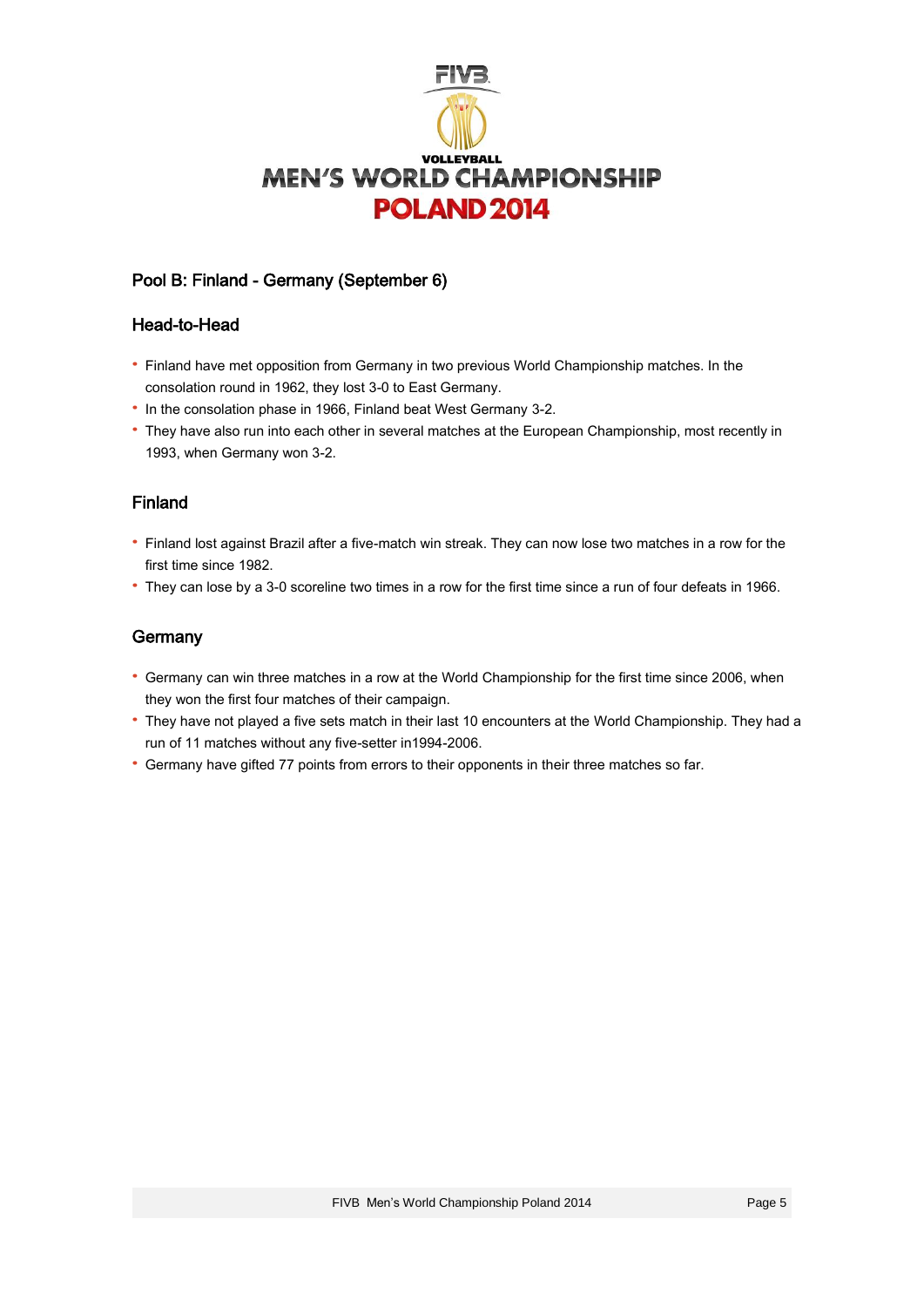

## Pool B: Finland - Germany (September 6)

#### Head-to-Head

- · Finland have met opposition from Germany in two previous World Championship matches. In the consolation round in 1962, they lost 3-0 to East Germany.
- · In the consolation phase in 1966, Finland beat West Germany 3-2.
- · They have also run into each other in several matches at the European Championship, most recently in 1993, when Germany won 3-2.

## Finland

- · Finland lost against Brazil after a five-match win streak. They can now lose two matches in a row for the first time since 1982.
- · They can lose by a 3-0 scoreline two times in a row for the first time since a run of four defeats in 1966.

## **Germany**

- · Germany can win three matches in a row at the World Championship for the first time since 2006, when they won the first four matches of their campaign.
- · They have not played a five sets match in their last 10 encounters at the World Championship. They had a run of 11 matches without any five-setter in1994-2006.
- · Germany have gifted 77 points from errors to their opponents in their three matches so far.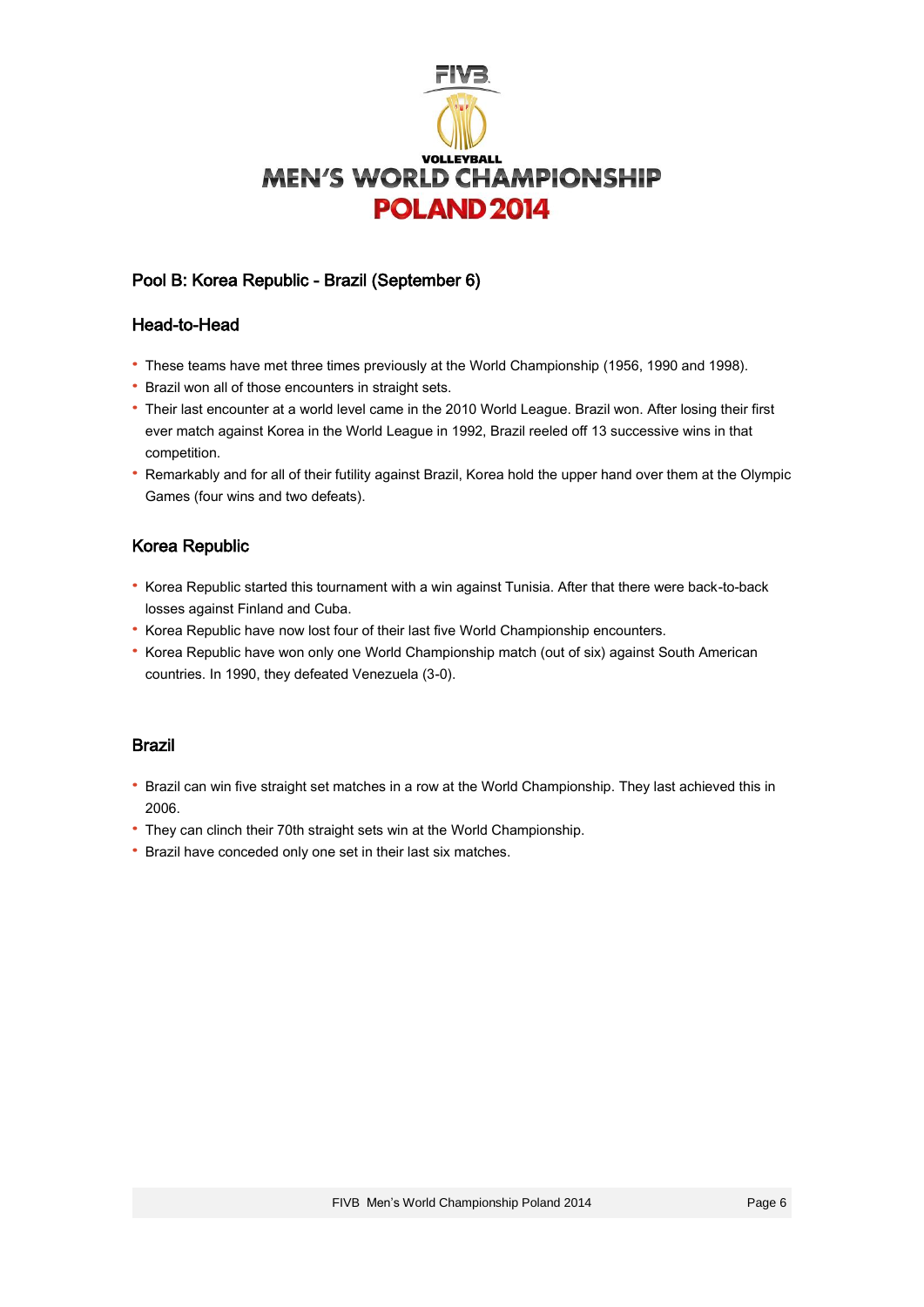

# Pool B: Korea Republic - Brazil (September 6)

### Head-to-Head

- · These teams have met three times previously at the World Championship (1956, 1990 and 1998).
- · Brazil won all of those encounters in straight sets.
- · Their last encounter at a world level came in the 2010 World League. Brazil won. After losing their first ever match against Korea in the World League in 1992, Brazil reeled off 13 successive wins in that competition.
- · Remarkably and for all of their futility against Brazil, Korea hold the upper hand over them at the Olympic Games (four wins and two defeats).

## Korea Republic

- · Korea Republic started this tournament with a win against Tunisia. After that there were back-to-back losses against Finland and Cuba.
- · Korea Republic have now lost four of their last five World Championship encounters.
- · Korea Republic have won only one World Championship match (out of six) against South American countries. In 1990, they defeated Venezuela (3-0).

#### Brazil

- · Brazil can win five straight set matches in a row at the World Championship. They last achieved this in 2006.
- · They can clinch their 70th straight sets win at the World Championship.
- · Brazil have conceded only one set in their last six matches.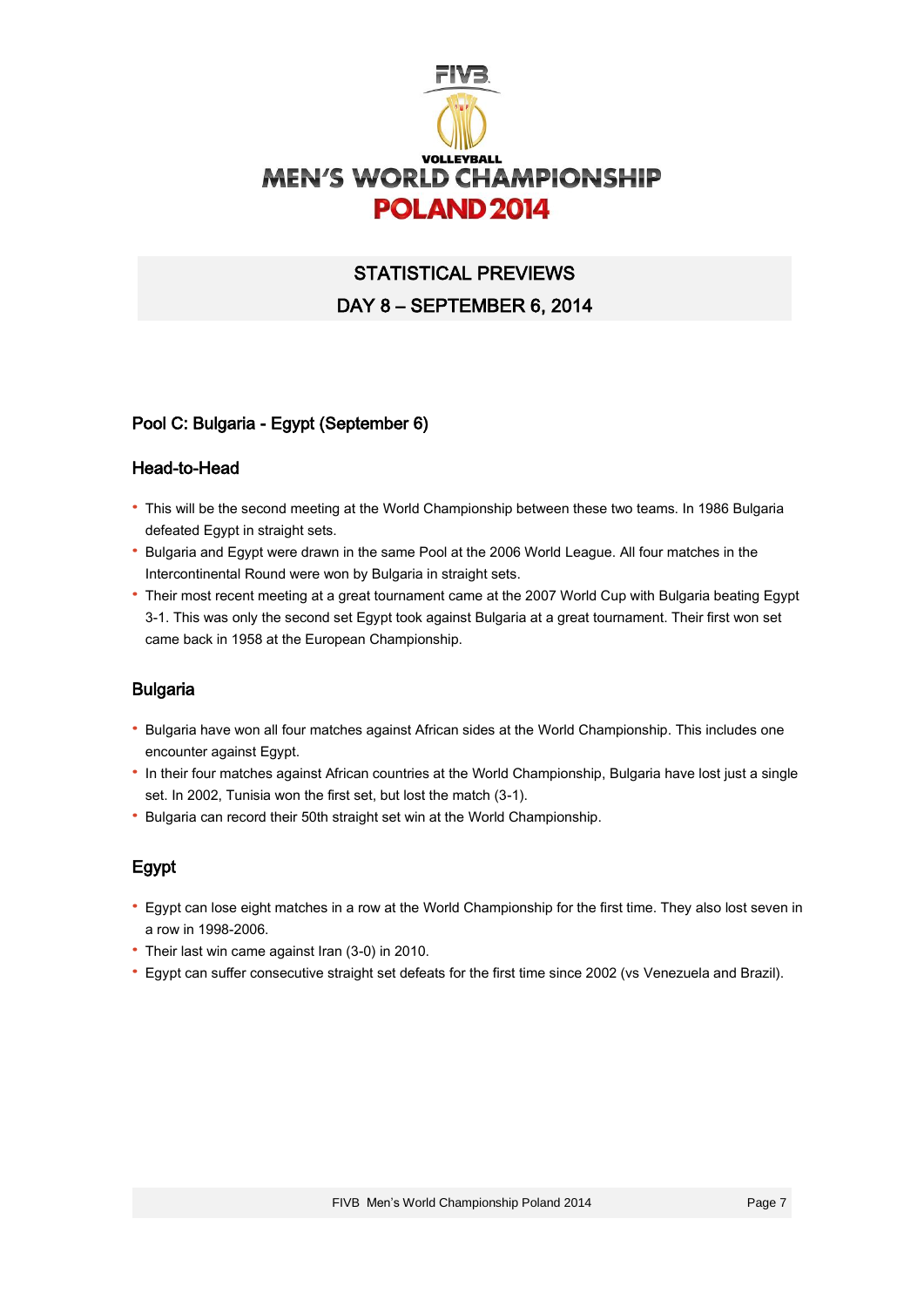

# STATISTICAL PREVIEWS DAY 8 – SEPTEMBER 6, 2014

## Pool C: Bulgaria - Egypt (September 6)

### Head-to-Head

- · This will be the second meeting at the World Championship between these two teams. In 1986 Bulgaria defeated Egypt in straight sets.
- · Bulgaria and Egypt were drawn in the same Pool at the 2006 World League. All four matches in the Intercontinental Round were won by Bulgaria in straight sets.
- · Their most recent meeting at a great tournament came at the 2007 World Cup with Bulgaria beating Egypt 3-1. This was only the second set Egypt took against Bulgaria at a great tournament. Their first won set came back in 1958 at the European Championship.

## Bulgaria

- · Bulgaria have won all four matches against African sides at the World Championship. This includes one encounter against Egypt.
- · In their four matches against African countries at the World Championship, Bulgaria have lost just a single set. In 2002, Tunisia won the first set, but lost the match (3-1).
- · Bulgaria can record their 50th straight set win at the World Championship.

## Egypt

- · Egypt can lose eight matches in a row at the World Championship for the first time. They also lost seven in a row in 1998-2006.
- · Their last win came against Iran (3-0) in 2010.
- · Egypt can suffer consecutive straight set defeats for the first time since 2002 (vs Venezuela and Brazil).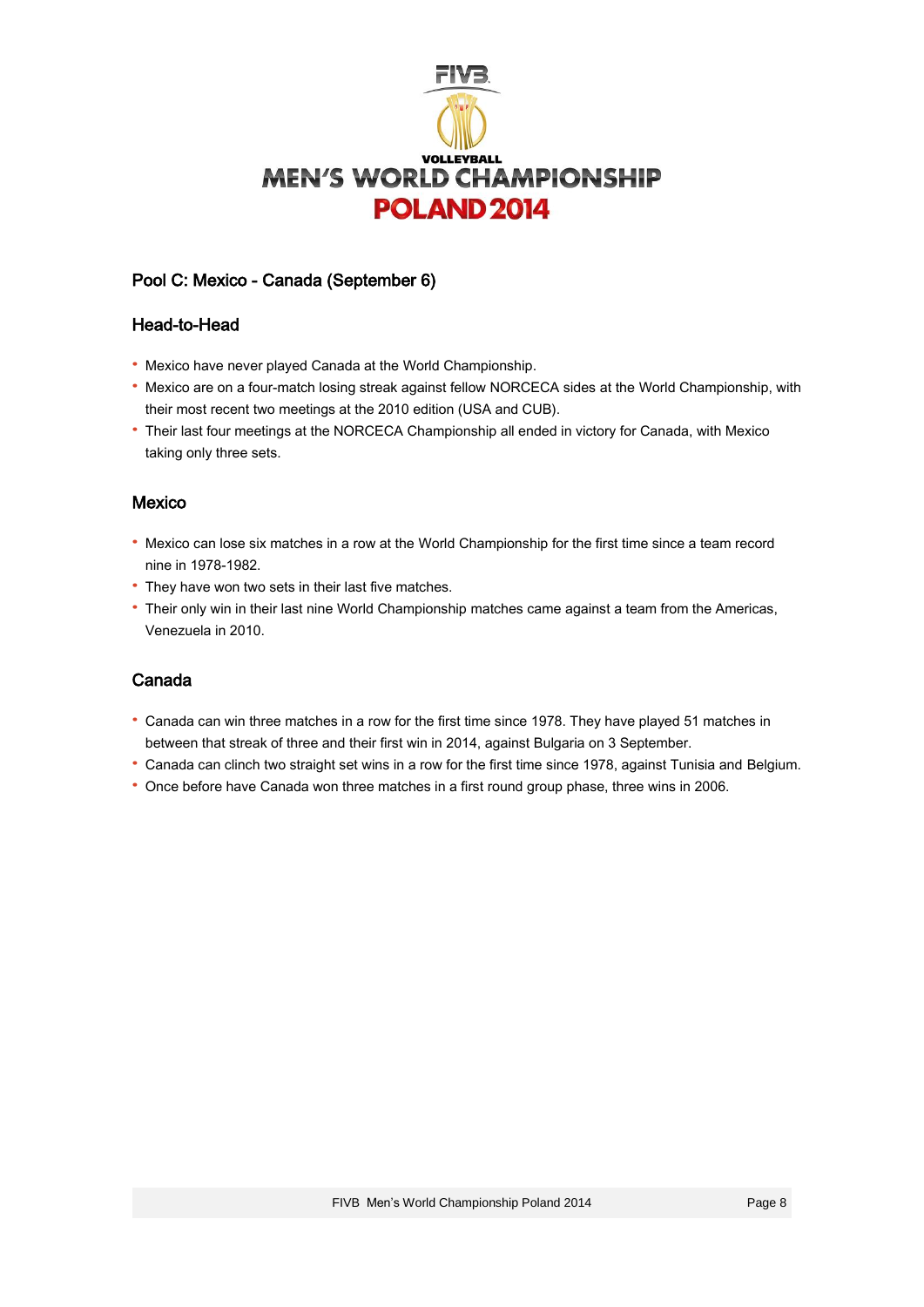

## Pool C: Mexico - Canada (September 6)

#### Head-to-Head

- · Mexico have never played Canada at the World Championship.
- · Mexico are on a four-match losing streak against fellow NORCECA sides at the World Championship, with their most recent two meetings at the 2010 edition (USA and CUB).
- · Their last four meetings at the NORCECA Championship all ended in victory for Canada, with Mexico taking only three sets.

## Mexico

- · Mexico can lose six matches in a row at the World Championship for the first time since a team record nine in 1978-1982.
- · They have won two sets in their last five matches.
- · Their only win in their last nine World Championship matches came against a team from the Americas, Venezuela in 2010.

# Canada

- · Canada can win three matches in a row for the first time since 1978. They have played 51 matches in between that streak of three and their first win in 2014, against Bulgaria on 3 September.
- · Canada can clinch two straight set wins in a row for the first time since 1978, against Tunisia and Belgium.
- · Once before have Canada won three matches in a first round group phase, three wins in 2006.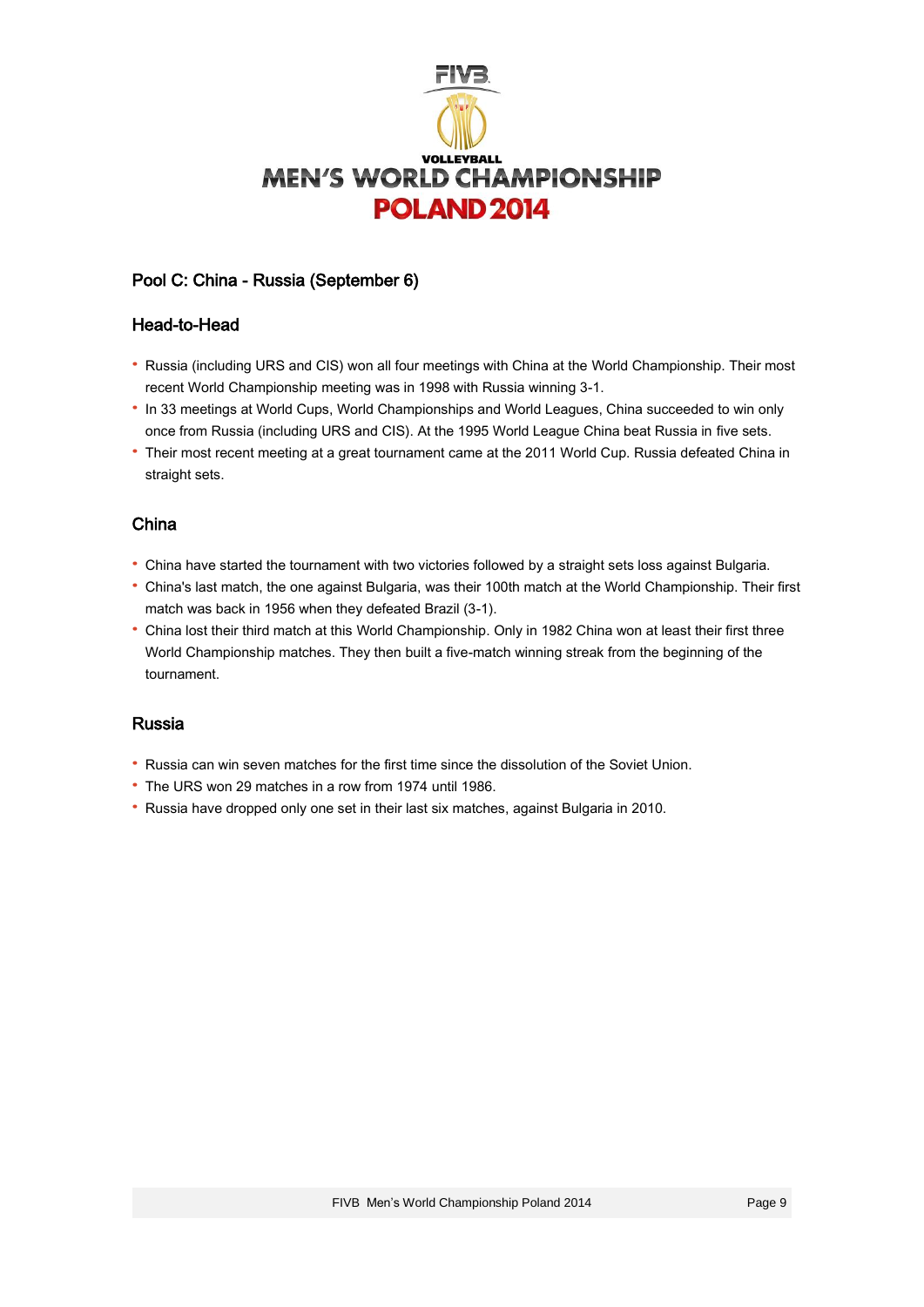

## Pool C: China - Russia (September 6)

#### Head-to-Head

- · Russia (including URS and CIS) won all four meetings with China at the World Championship. Their most recent World Championship meeting was in 1998 with Russia winning 3-1.
- · In 33 meetings at World Cups, World Championships and World Leagues, China succeeded to win only once from Russia (including URS and CIS). At the 1995 World League China beat Russia in five sets.
- · Their most recent meeting at a great tournament came at the 2011 World Cup. Russia defeated China in straight sets.

## China

- · China have started the tournament with two victories followed by a straight sets loss against Bulgaria.
- · China's last match, the one against Bulgaria, was their 100th match at the World Championship. Their first match was back in 1956 when they defeated Brazil (3-1).
- · China lost their third match at this World Championship. Only in 1982 China won at least their first three World Championship matches. They then built a five-match winning streak from the beginning of the tournament.

## Russia

- · Russia can win seven matches for the first time since the dissolution of the Soviet Union.
- · The URS won 29 matches in a row from 1974 until 1986.
- · Russia have dropped only one set in their last six matches, against Bulgaria in 2010.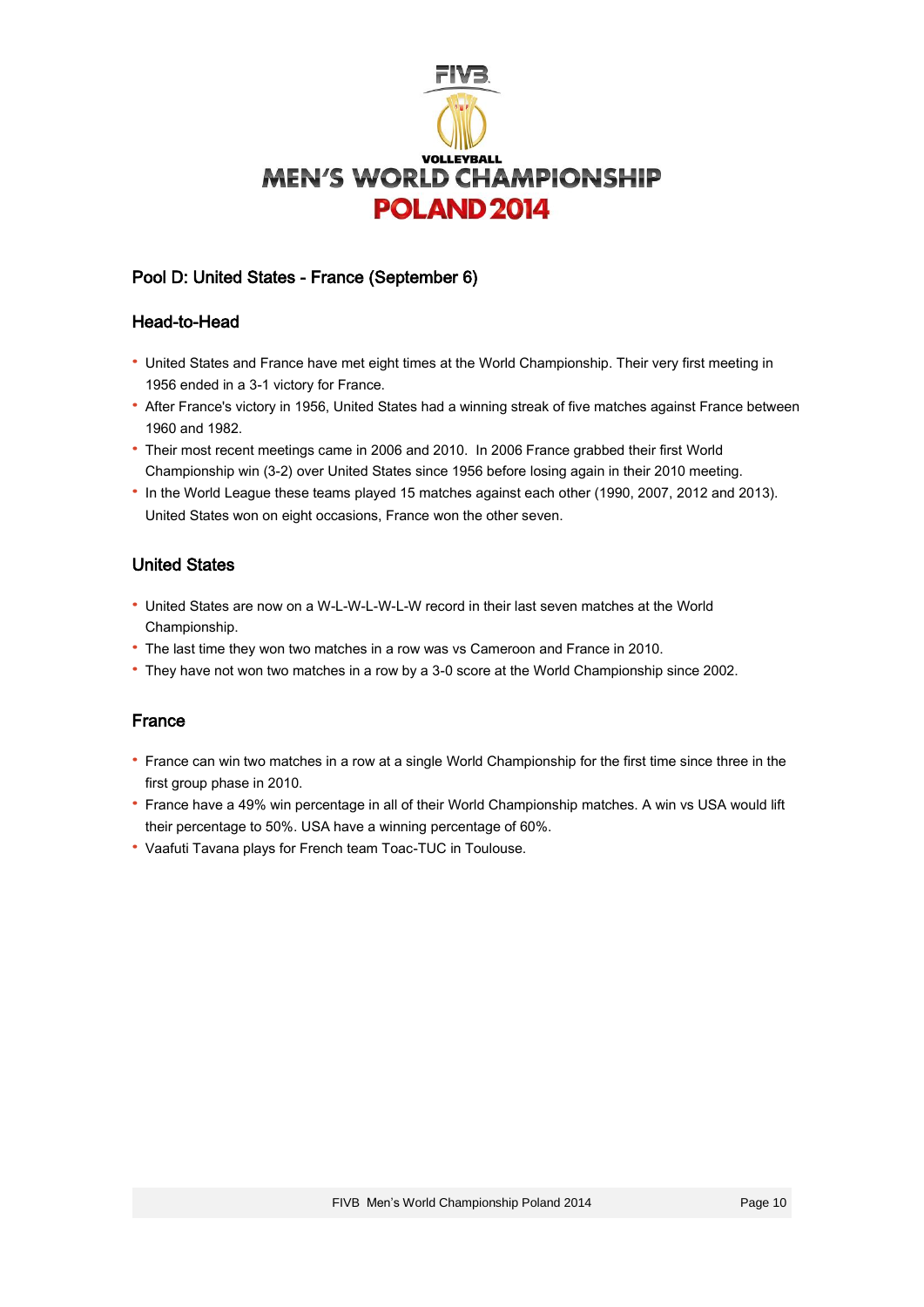

# Pool D: United States - France (September 6)

## Head-to-Head

- · United States and France have met eight times at the World Championship. Their very first meeting in 1956 ended in a 3-1 victory for France.
- · After France's victory in 1956, United States had a winning streak of five matches against France between 1960 and 1982.
- · Their most recent meetings came in 2006 and 2010. In 2006 France grabbed their first World Championship win (3-2) over United States since 1956 before losing again in their 2010 meeting.
- · In the World League these teams played 15 matches against each other (1990, 2007, 2012 and 2013). United States won on eight occasions, France won the other seven.

# United States

- · United States are now on a W-L-W-L-W-L-W record in their last seven matches at the World Championship.
- · The last time they won two matches in a row was vs Cameroon and France in 2010.
- · They have not won two matches in a row by a 3-0 score at the World Championship since 2002.

## France

- · France can win two matches in a row at a single World Championship for the first time since three in the first group phase in 2010.
- · France have a 49% win percentage in all of their World Championship matches. A win vs USA would lift their percentage to 50%. USA have a winning percentage of 60%.
- · Vaafuti Tavana plays for French team Toac-TUC in Toulouse.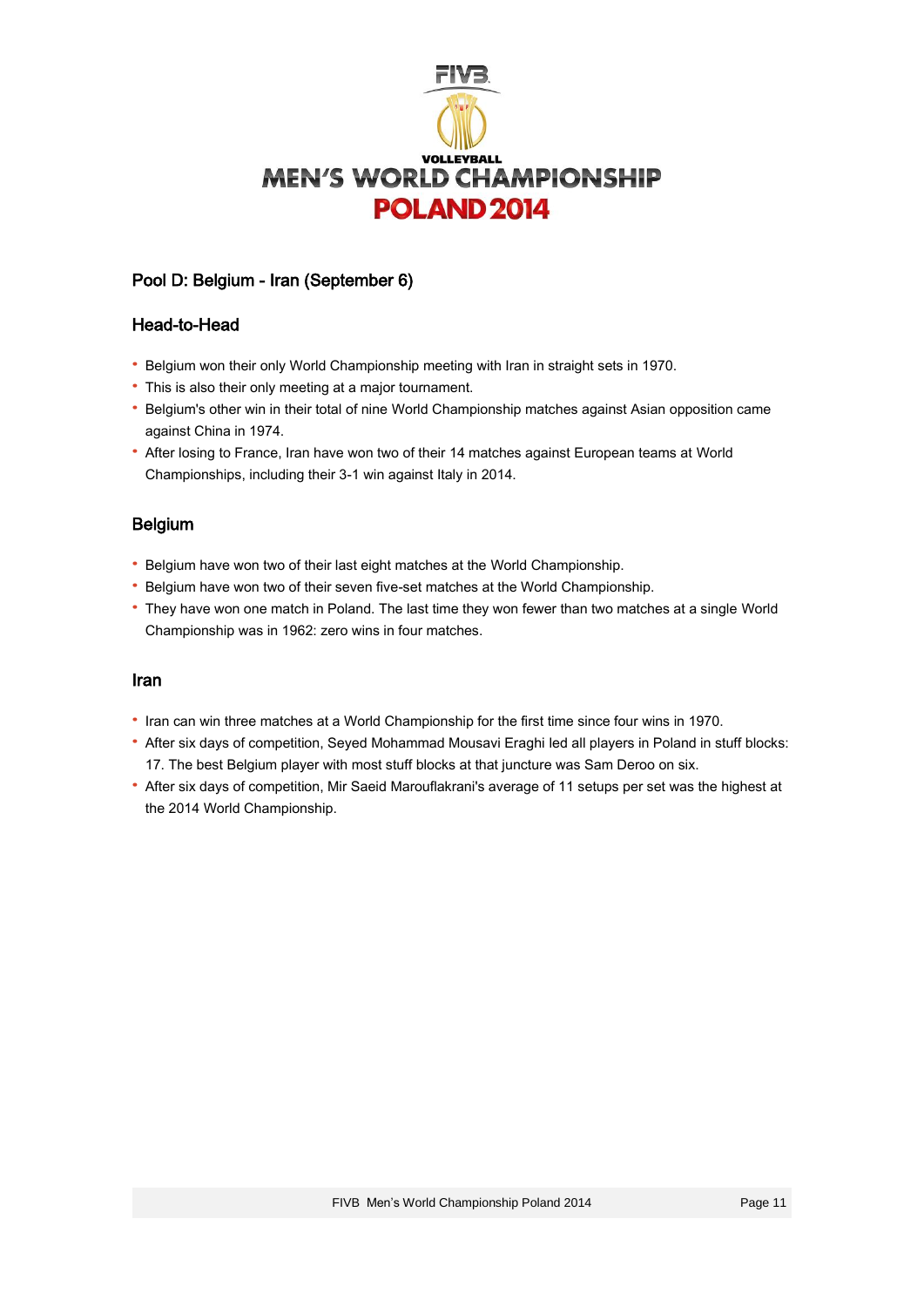

# Pool D: Belgium - Iran (September 6)

### Head-to-Head

- · Belgium won their only World Championship meeting with Iran in straight sets in 1970.
- · This is also their only meeting at a major tournament.
- · Belgium's other win in their total of nine World Championship matches against Asian opposition came against China in 1974.
- · After losing to France, Iran have won two of their 14 matches against European teams at World Championships, including their 3-1 win against Italy in 2014.

## Belgium

- · Belgium have won two of their last eight matches at the World Championship.
- · Belgium have won two of their seven five-set matches at the World Championship.
- · They have won one match in Poland. The last time they won fewer than two matches at a single World Championship was in 1962: zero wins in four matches.

#### Iran

- · Iran can win three matches at a World Championship for the first time since four wins in 1970.
- · After six days of competition, Seyed Mohammad Mousavi Eraghi led all players in Poland in stuff blocks: 17. The best Belgium player with most stuff blocks at that juncture was Sam Deroo on six.
- · After six days of competition, Mir Saeid Marouflakrani's average of 11 setups per set was the highest at the 2014 World Championship.